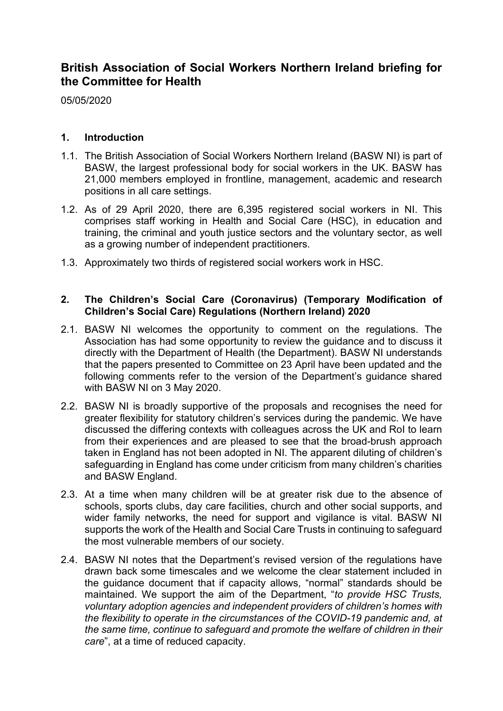# **British Association of Social Workers Northern Ireland briefing for the Committee for Health**

05/05/2020

## **1. Introduction**

- 1.1. The British Association of Social Workers Northern Ireland (BASW NI) is part of BASW, the largest professional body for social workers in the UK. BASW has 21,000 members employed in frontline, management, academic and research positions in all care settings.
- 1.2. As of 29 April 2020, there are 6,395 registered social workers in NI. This comprises staff working in Health and Social Care (HSC), in education and training, the criminal and youth justice sectors and the voluntary sector, as well as a growing number of independent practitioners.
- 1.3. Approximately two thirds of registered social workers work in HSC.

## **2. The Children's Social Care (Coronavirus) (Temporary Modification of Children's Social Care) Regulations (Northern Ireland) 2020**

- 2.1. BASW NI welcomes the opportunity to comment on the regulations. The Association has had some opportunity to review the guidance and to discuss it directly with the Department of Health (the Department). BASW NI understands that the papers presented to Committee on 23 April have been updated and the following comments refer to the version of the Department's guidance shared with BASW NI on 3 May 2020.
- 2.2. BASW NI is broadly supportive of the proposals and recognises the need for greater flexibility for statutory children's services during the pandemic. We have discussed the differing contexts with colleagues across the UK and RoI to learn from their experiences and are pleased to see that the broad-brush approach taken in England has not been adopted in NI. The apparent diluting of children's safeguarding in England has come under criticism from many children's charities and BASW England.
- 2.3. At a time when many children will be at greater risk due to the absence of schools, sports clubs, day care facilities, church and other social supports, and wider family networks, the need for support and vigilance is vital. BASW NI supports the work of the Health and Social Care Trusts in continuing to safeguard the most vulnerable members of our society.
- 2.4. BASW NI notes that the Department's revised version of the regulations have drawn back some timescales and we welcome the clear statement included in the guidance document that if capacity allows, "normal" standards should be maintained. We support the aim of the Department, "*to provide HSC Trusts, voluntary adoption agencies and independent providers of children's homes with the flexibility to operate in the circumstances of the COVID-19 pandemic and, at the same time, continue to safeguard and promote the welfare of children in their care*", at a time of reduced capacity.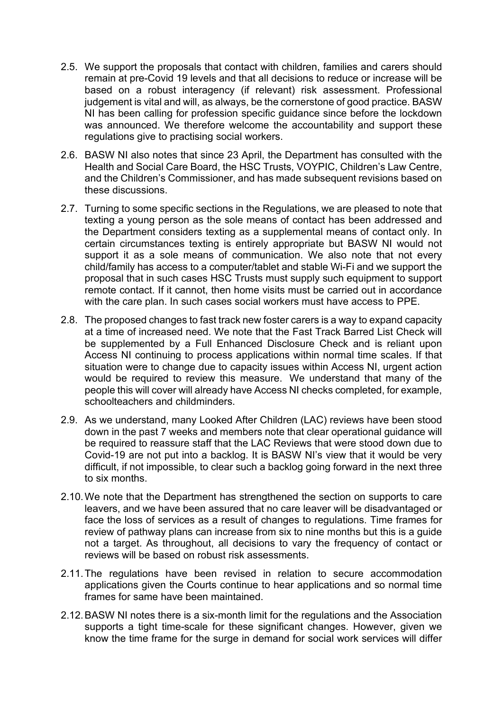- 2.5. We support the proposals that contact with children, families and carers should remain at pre-Covid 19 levels and that all decisions to reduce or increase will be based on a robust interagency (if relevant) risk assessment. Professional judgement is vital and will, as always, be the cornerstone of good practice. BASW NI has been calling for profession specific guidance since before the lockdown was announced. We therefore welcome the accountability and support these regulations give to practising social workers.
- 2.6. BASW NI also notes that since 23 April, the Department has consulted with the Health and Social Care Board, the HSC Trusts, VOYPIC, Children's Law Centre, and the Children's Commissioner, and has made subsequent revisions based on these discussions.
- 2.7. Turning to some specific sections in the Regulations, we are pleased to note that texting a young person as the sole means of contact has been addressed and the Department considers texting as a supplemental means of contact only. In certain circumstances texting is entirely appropriate but BASW NI would not support it as a sole means of communication. We also note that not every child/family has access to a computer/tablet and stable Wi-Fi and we support the proposal that in such cases HSC Trusts must supply such equipment to support remote contact. If it cannot, then home visits must be carried out in accordance with the care plan. In such cases social workers must have access to PPE.
- 2.8. The proposed changes to fast track new foster carers is a way to expand capacity at a time of increased need. We note that the Fast Track Barred List Check will be supplemented by a Full Enhanced Disclosure Check and is reliant upon Access NI continuing to process applications within normal time scales. If that situation were to change due to capacity issues within Access NI, urgent action would be required to review this measure. We understand that many of the people this will cover will already have Access NI checks completed, for example, schoolteachers and childminders.
- 2.9. As we understand, many Looked After Children (LAC) reviews have been stood down in the past 7 weeks and members note that clear operational guidance will be required to reassure staff that the LAC Reviews that were stood down due to Covid-19 are not put into a backlog. It is BASW NI's view that it would be very difficult, if not impossible, to clear such a backlog going forward in the next three to six months.
- 2.10.We note that the Department has strengthened the section on supports to care leavers, and we have been assured that no care leaver will be disadvantaged or face the loss of services as a result of changes to regulations. Time frames for review of pathway plans can increase from six to nine months but this is a guide not a target. As throughout, all decisions to vary the frequency of contact or reviews will be based on robust risk assessments.
- 2.11.The regulations have been revised in relation to secure accommodation applications given the Courts continue to hear applications and so normal time frames for same have been maintained.
- 2.12.BASW NI notes there is a six-month limit for the regulations and the Association supports a tight time-scale for these significant changes. However, given we know the time frame for the surge in demand for social work services will differ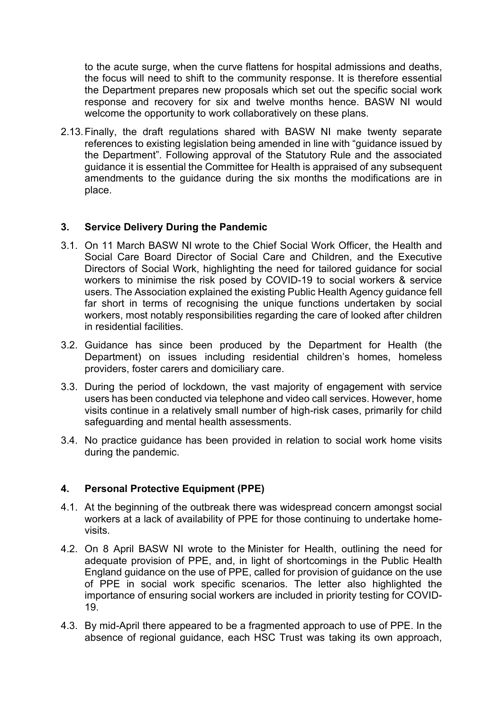to the acute surge, when the curve flattens for hospital admissions and deaths, the focus will need to shift to the community response. It is therefore essential the Department prepares new proposals which set out the specific social work response and recovery for six and twelve months hence. BASW NI would welcome the opportunity to work collaboratively on these plans.

2.13.Finally, the draft regulations shared with BASW NI make twenty separate references to existing legislation being amended in line with "guidance issued by the Department". Following approval of the Statutory Rule and the associated guidance it is essential the Committee for Health is appraised of any subsequent amendments to the guidance during the six months the modifications are in place.

# **3. Service Delivery During the Pandemic**

- 3.1. On 11 March BASW NI wrote to the Chief Social Work Officer, the Health and Social Care Board Director of Social Care and Children, and the Executive Directors of Social Work, highlighting the need for tailored guidance for social workers to minimise the risk posed by COVID-19 to social workers & service users. The Association explained the existing Public Health Agency guidance fell far short in terms of recognising the unique functions undertaken by social workers, most notably responsibilities regarding the care of looked after children in residential facilities.
- 3.2. Guidance has since been produced by the Department for Health (the Department) on issues including residential children's homes, homeless providers, foster carers and domiciliary care.
- 3.3. During the period of lockdown, the vast majority of engagement with service users has been conducted via telephone and video call services. However, home visits continue in a relatively small number of high-risk cases, primarily for child safeguarding and mental health assessments.
- 3.4. No practice guidance has been provided in relation to social work home visits during the pandemic.

#### **4. Personal Protective Equipment (PPE)**

- 4.1. At the beginning of the outbreak there was widespread concern amongst social workers at a lack of availability of PPE for those continuing to undertake homevisits.
- 4.2. On 8 April BASW NI wrote to the Minister for Health, outlining the need for adequate provision of PPE, and, in light of shortcomings in the Public Health England guidance on the use of PPE, called for provision of guidance on the use of PPE in social work specific scenarios. The letter also highlighted the importance of ensuring social workers are included in priority testing for COVID-19.
- 4.3. By mid-April there appeared to be a fragmented approach to use of PPE. In the absence of regional guidance, each HSC Trust was taking its own approach,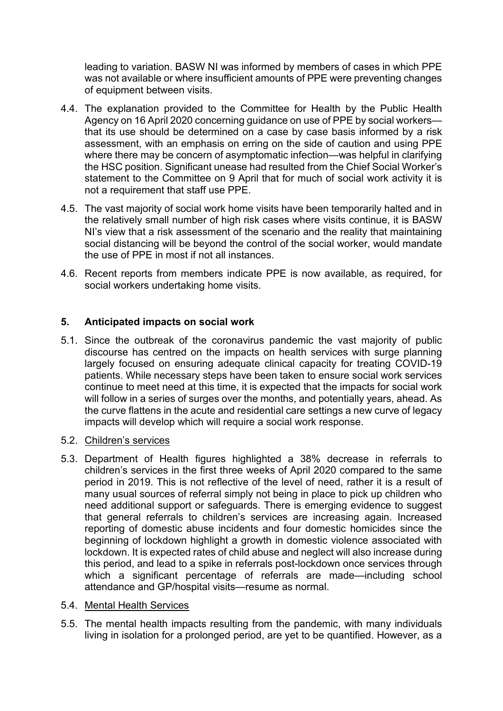leading to variation. BASW NI was informed by members of cases in which PPE was not available or where insufficient amounts of PPE were preventing changes of equipment between visits.

- 4.4. The explanation provided to the Committee for Health by the Public Health Agency on 16 April 2020 concerning guidance on use of PPE by social workers that its use should be determined on a case by case basis informed by a risk assessment, with an emphasis on erring on the side of caution and using PPE where there may be concern of asymptomatic infection—was helpful in clarifying the HSC position. Significant unease had resulted from the Chief Social Worker's statement to the Committee on 9 April that for much of social work activity it is not a requirement that staff use PPE.
- 4.5. The vast majority of social work home visits have been temporarily halted and in the relatively small number of high risk cases where visits continue, it is BASW NI's view that a risk assessment of the scenario and the reality that maintaining social distancing will be beyond the control of the social worker, would mandate the use of PPE in most if not all instances.
- 4.6. Recent reports from members indicate PPE is now available, as required, for social workers undertaking home visits.

# **5. Anticipated impacts on social work**

5.1. Since the outbreak of the coronavirus pandemic the vast majority of public discourse has centred on the impacts on health services with surge planning largely focused on ensuring adequate clinical capacity for treating COVID-19 patients. While necessary steps have been taken to ensure social work services continue to meet need at this time, it is expected that the impacts for social work will follow in a series of surges over the months, and potentially years, ahead. As the curve flattens in the acute and residential care settings a new curve of legacy impacts will develop which will require a social work response.

#### 5.2. Children's services

5.3. Department of Health figures highlighted a 38% decrease in referrals to children's services in the first three weeks of April 2020 compared to the same period in 2019. This is not reflective of the level of need, rather it is a result of many usual sources of referral simply not being in place to pick up children who need additional support or safeguards. There is emerging evidence to suggest that general referrals to children's services are increasing again. Increased reporting of domestic abuse incidents and four domestic homicides since the beginning of lockdown highlight a growth in domestic violence associated with lockdown. It is expected rates of child abuse and neglect will also increase during this period, and lead to a spike in referrals post-lockdown once services through which a significant percentage of referrals are made—including school attendance and GP/hospital visits—resume as normal.

#### 5.4. Mental Health Services

5.5. The mental health impacts resulting from the pandemic, with many individuals living in isolation for a prolonged period, are yet to be quantified. However, as a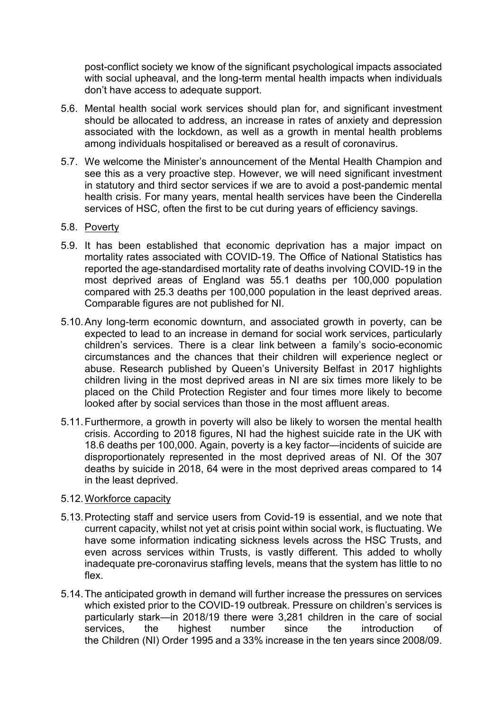post-conflict society we know of the significant psychological impacts associated with social upheaval, and the long-term mental health impacts when individuals don't have access to adequate support.

- 5.6. Mental health social work services should plan for, and significant investment should be allocated to address, an increase in rates of anxiety and depression associated with the lockdown, as well as a growth in mental health problems among individuals hospitalised or bereaved as a result of coronavirus.
- 5.7. We welcome the Minister's announcement of the Mental Health Champion and see this as a very proactive step. However, we will need significant investment in statutory and third sector services if we are to avoid a post-pandemic mental health crisis. For many years, mental health services have been the Cinderella services of HSC, often the first to be cut during years of efficiency savings.
- 5.8. Poverty
- 5.9. It has been established that economic deprivation has a major impact on mortality rates associated with COVID-19. The Office of National Statistics has reported the age-standardised mortality rate of deaths involving COVID-19 in the most deprived areas of England was 55.1 deaths per 100,000 population compared with 25.3 deaths per 100,000 population in the least deprived areas. Comparable figures are not published for NI.
- 5.10.Any long-term economic downturn, and associated growth in poverty, can be expected to lead to an increase in demand for social work services, particularly children's services. There is a clear link between a family's socio-economic circumstances and the chances that their children will experience neglect or abuse. Research published by Queen's University Belfast in 2017 highlights children living in the most deprived areas in NI are six times more likely to be placed on the Child Protection Register and four times more likely to become looked after by social services than those in the most affluent areas.
- 5.11.Furthermore, a growth in poverty will also be likely to worsen the mental health crisis. According to 2018 figures, NI had the highest suicide rate in the UK with 18.6 deaths per 100,000. Again, poverty is a key factor—incidents of suicide are disproportionately represented in the most deprived areas of NI. Of the 307 deaths by suicide in 2018, 64 were in the most deprived areas compared to 14 in the least deprived.

#### 5.12.Workforce capacity

- 5.13.Protecting staff and service users from Covid-19 is essential, and we note that current capacity, whilst not yet at crisis point within social work, is fluctuating. We have some information indicating sickness levels across the HSC Trusts, and even across services within Trusts, is vastly different. This added to wholly inadequate pre-coronavirus staffing levels, means that the system has little to no flex.
- 5.14.The anticipated growth in demand will further increase the pressures on services which existed prior to the COVID-19 outbreak. Pressure on children's services is particularly stark—in 2018/19 there were 3,281 children in the care of social services, the highest number since the introduction of the Children (NI) Order 1995 and a 33% increase in the ten years since 2008/09.